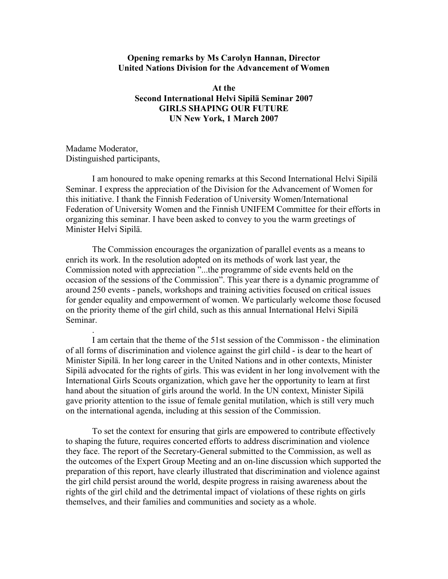## **Opening remarks by Ms Carolyn Hannan, Director United Nations Division for the Advancement of Women**

**At the Second International Helvi Sipilä Seminar 2007 GIRLS SHAPING OUR FUTURE UN New York, 1 March 2007** 

Madame Moderator, Distinguished participants,

.

I am honoured to make opening remarks at this Second International Helvi Sipilä Seminar. I express the appreciation of the Division for the Advancement of Women for this initiative. I thank the Finnish Federation of University Women/International Federation of University Women and the Finnish UNIFEM Committee for their efforts in organizing this seminar. I have been asked to convey to you the warm greetings of Minister Helvi Sipilä.

The Commission encourages the organization of parallel events as a means to enrich its work. In the resolution adopted on its methods of work last year, the Commission noted with appreciation "...the programme of side events held on the occasion of the sessions of the Commission". This year there is a dynamic programme of around 250 events - panels, workshops and training activities focused on critical issues for gender equality and empowerment of women. We particularly welcome those focused on the priority theme of the girl child, such as this annual International Helvi Sipilä Seminar.

I am certain that the theme of the 51st session of the Commisson - the elimination of all forms of discrimination and violence against the girl child - is dear to the heart of Minister Sipilä. In her long career in the United Nations and in other contexts, Minister Sipilä advocated for the rights of girls. This was evident in her long involvement with the International Girls Scouts organization, which gave her the opportunity to learn at first hand about the situation of girls around the world. In the UN context, Minister Sipilä gave priority attention to the issue of female genital mutilation, which is still very much on the international agenda, including at this session of the Commission.

To set the context for ensuring that girls are empowered to contribute effectively to shaping the future, requires concerted efforts to address discrimination and violence they face. The report of the Secretary-General submitted to the Commission, as well as the outcomes of the Expert Group Meeting and an on-line discussion which supported the preparation of this report, have clearly illustrated that discrimination and violence against the girl child persist around the world, despite progress in raising awareness about the rights of the girl child and the detrimental impact of violations of these rights on girls themselves, and their families and communities and society as a whole.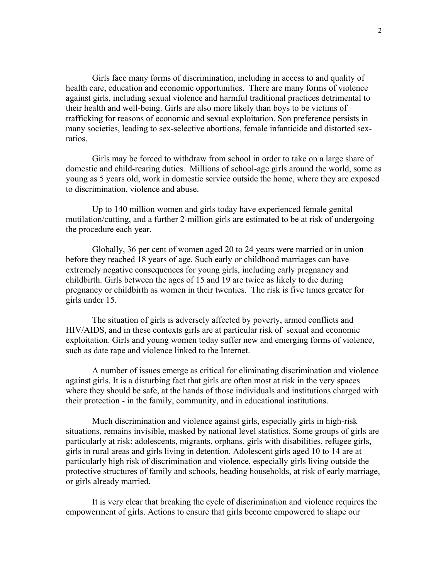Girls face many forms of discrimination, including in access to and quality of health care, education and economic opportunities. There are many forms of violence against girls, including sexual violence and harmful traditional practices detrimental to their health and well-being. Girls are also more likely than boys to be victims of trafficking for reasons of economic and sexual exploitation. Son preference persists in many societies, leading to sex-selective abortions, female infanticide and distorted sexratios.

 Girls may be forced to withdraw from school in order to take on a large share of domestic and child-rearing duties. Millions of school-age girls around the world, some as young as 5 years old, work in domestic service outside the home, where they are exposed to discrimination, violence and abuse.

Up to 140 million women and girls today have experienced female genital mutilation/cutting, and a further 2-million girls are estimated to be at risk of undergoing the procedure each year.

Globally, 36 per cent of women aged 20 to 24 years were married or in union before they reached 18 years of age. Such early or childhood marriages can have extremely negative consequences for young girls, including early pregnancy and childbirth. Girls between the ages of 15 and 19 are twice as likely to die during pregnancy or childbirth as women in their twenties. The risk is five times greater for girls under 15.

The situation of girls is adversely affected by poverty, armed conflicts and HIV/AIDS, and in these contexts girls are at particular risk of sexual and economic exploitation. Girls and young women today suffer new and emerging forms of violence, such as date rape and violence linked to the Internet.

A number of issues emerge as critical for eliminating discrimination and violence against girls. It is a disturbing fact that girls are often most at risk in the very spaces where they should be safe, at the hands of those individuals and institutions charged with their protection - in the family, community, and in educational institutions.

Much discrimination and violence against girls, especially girls in high-risk situations, remains invisible, masked by national level statistics. Some groups of girls are particularly at risk: adolescents, migrants, orphans, girls with disabilities, refugee girls, girls in rural areas and girls living in detention. Adolescent girls aged 10 to 14 are at particularly high risk of discrimination and violence, especially girls living outside the protective structures of family and schools, heading households, at risk of early marriage, or girls already married.

It is very clear that breaking the cycle of discrimination and violence requires the empowerment of girls. Actions to ensure that girls become empowered to shape our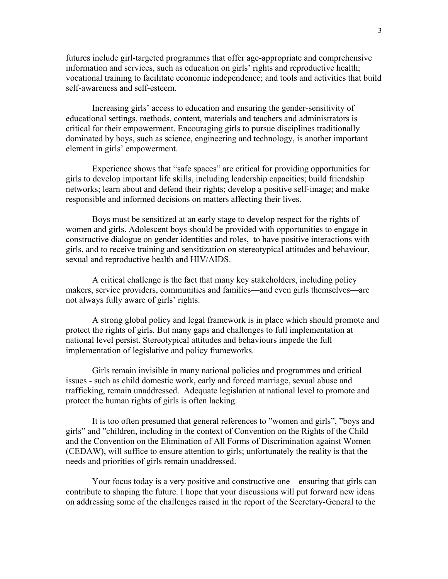futures include girl-targeted programmes that offer age-appropriate and comprehensive information and services, such as education on girls' rights and reproductive health; vocational training to facilitate economic independence; and tools and activities that build self-awareness and self-esteem.

Increasing girls' access to education and ensuring the gender-sensitivity of educational settings, methods, content, materials and teachers and administrators is critical for their empowerment. Encouraging girls to pursue disciplines traditionally dominated by boys, such as science, engineering and technology, is another important element in girls' empowerment.

Experience shows that "safe spaces" are critical for providing opportunities for girls to develop important life skills, including leadership capacities; build friendship networks; learn about and defend their rights; develop a positive self-image; and make responsible and informed decisions on matters affecting their lives.

Boys must be sensitized at an early stage to develop respect for the rights of women and girls. Adolescent boys should be provided with opportunities to engage in constructive dialogue on gender identities and roles, to have positive interactions with girls, and to receive training and sensitization on stereotypical attitudes and behaviour, sexual and reproductive health and HIV/AIDS.

A critical challenge is the fact that many key stakeholders, including policy makers, service providers, communities and families—and even girls themselves—are not always fully aware of girls' rights.

A strong global policy and legal framework is in place which should promote and protect the rights of girls. But many gaps and challenges to full implementation at national level persist. Stereotypical attitudes and behaviours impede the full implementation of legislative and policy frameworks.

Girls remain invisible in many national policies and programmes and critical issues - such as child domestic work, early and forced marriage, sexual abuse and trafficking, remain unaddressed. Adequate legislation at national level to promote and protect the human rights of girls is often lacking.

It is too often presumed that general references to "women and girls", "boys and girls" and "children, including in the context of Convention on the Rights of the Child and the Convention on the Elimination of All Forms of Discrimination against Women (CEDAW), will suffice to ensure attention to girls; unfortunately the reality is that the needs and priorities of girls remain unaddressed.

Your focus today is a very positive and constructive one – ensuring that girls can contribute to shaping the future. I hope that your discussions will put forward new ideas on addressing some of the challenges raised in the report of the Secretary-General to the